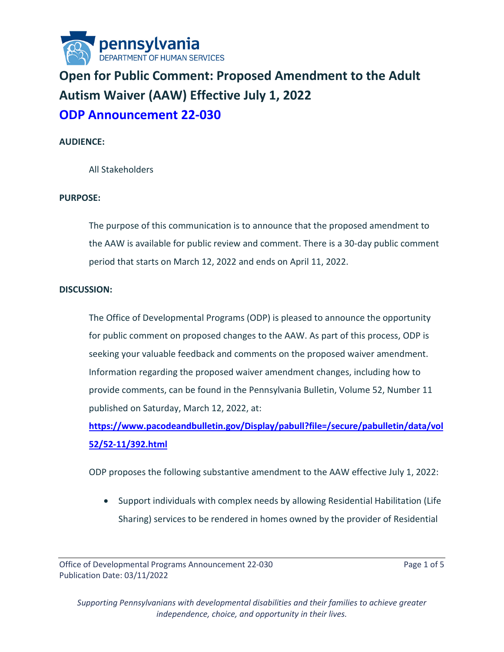

# **Open for Public Comment: Proposed Amendment to the Adult Autism Waiver (AAW) Effective July 1, 2022 ODP Announcement 22-030**

## **AUDIENCE:**

All Stakeholders

#### **PURPOSE:**

The purpose of this communication is to announce that the proposed amendment to the AAW is available for public review and comment. There is a 30-day public comment period that starts on March 12, 2022 and ends on April 11, 2022.

#### **DISCUSSION:**

The Office of Developmental Programs (ODP) is pleased to announce the opportunity for public comment on proposed changes to the AAW. As part of this process, ODP is seeking your valuable feedback and comments on the proposed waiver amendment. Information regarding the proposed waiver amendment changes, including how to provide comments, can be found in the Pennsylvania Bulletin, Volume 52, Number 11 published on Saturday, March 12, 2022, at:

**[https://www.pacodeandbulletin.gov/Display/pabull?file=/secure/pabulletin/data/vol](https://www.pacodeandbulletin.gov/Display/pabull?file=/secure/pabulletin/data/vol52/52-11/392.html) [52/52-11/392.html](https://www.pacodeandbulletin.gov/Display/pabull?file=/secure/pabulletin/data/vol52/52-11/392.html)**

ODP proposes the following substantive amendment to the AAW effective July 1, 2022:

• Support individuals with complex needs by allowing Residential Habilitation (Life Sharing) services to be rendered in homes owned by the provider of Residential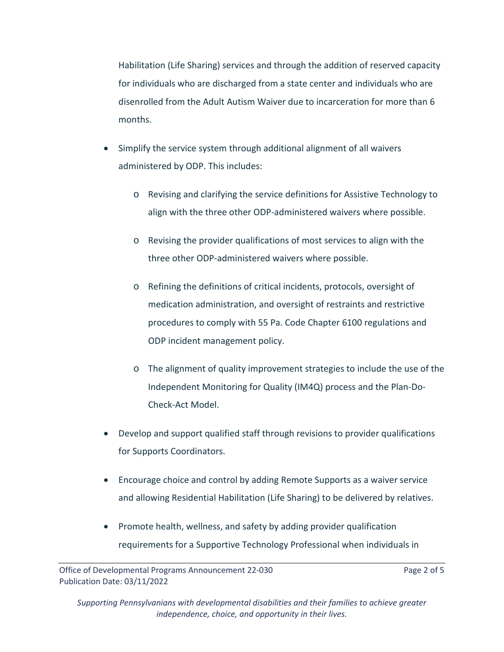Habilitation (Life Sharing) services and through the addition of reserved capacity for individuals who are discharged from a state center and individuals who are disenrolled from the Adult Autism Waiver due to incarceration for more than 6 months.

- Simplify the service system through additional alignment of all waivers administered by ODP. This includes:
	- o Revising and clarifying the service definitions for Assistive Technology to align with the three other ODP-administered waivers where possible.
	- o Revising the provider qualifications of most services to align with the three other ODP-administered waivers where possible.
	- o Refining the definitions of critical incidents, protocols, oversight of medication administration, and oversight of restraints and restrictive procedures to comply with 55 Pa. Code Chapter 6100 regulations and ODP incident management policy.
	- o The alignment of quality improvement strategies to include the use of the Independent Monitoring for Quality (IM4Q) process and the Plan-Do-Check-Act Model.
- Develop and support qualified staff through revisions to provider qualifications for Supports Coordinators.
- Encourage choice and control by adding Remote Supports as a waiver service and allowing Residential Habilitation (Life Sharing) to be delivered by relatives.
- Promote health, wellness, and safety by adding provider qualification requirements for a Supportive Technology Professional when individuals in

Office of Developmental Programs Announcement 22-030 Page 2 of 5 Publication Date: 03/11/2022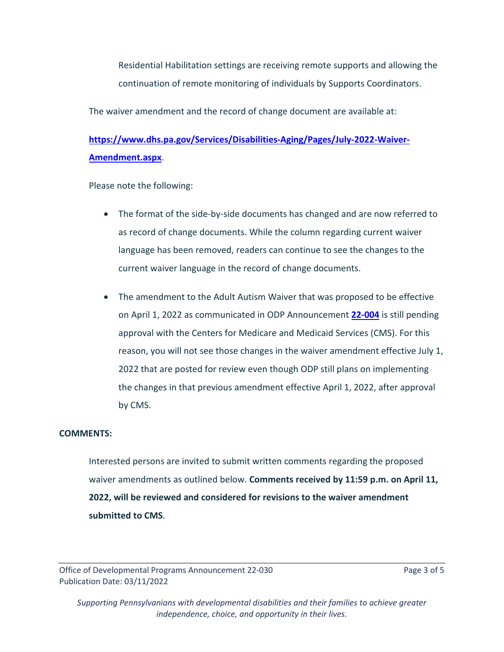Residential Habilitation settings are receiving remote supports and allowing the continuation of remote monitoring of individuals by Supports Coordinators.

The waiver amendment and the record of change document are available at:

# **[https://www.dhs.pa.gov/Services/Disabilities-Aging/Pages/July-2022-Waiver-](https://www.dhs.pa.gov/Services/Disabilities-Aging/Pages/July-2022-Waiver-Amendment.aspx)[Amendment.aspx](https://www.dhs.pa.gov/Services/Disabilities-Aging/Pages/July-2022-Waiver-Amendment.aspx)**.

Please note the following:

- The format of the side-by-side documents has changed and are now referred to as record of change documents. While the column regarding current waiver language has been removed, readers can continue to see the changes to the current waiver language in the record of change documents.
- The amendment to the Adult Autism Waiver that was proposed to be effective on April 1, 2022 as communicated in ODP Announcement **[22-004](https://palms-awss3-repository.s3.us-west-2.amazonaws.com/Communications/ODP/2020/ODPANN+22-004+Now+Available+Amendments+to+the+Office+of+Developmental+Programs%E2%80%99+(ODP)+Waivers+Submitted+to+the+Centers+for+Medicare+and+Medicaid+Services+(CMS).pdf)** is still pending approval with the Centers for Medicare and Medicaid Services (CMS). For this reason, you will not see those changes in the waiver amendment effective July 1, 2022 that are posted for review even though ODP still plans on implementing the changes in that previous amendment effective April 1, 2022, after approval by CMS.

#### **COMMENTS:**

Interested persons are invited to submit written comments regarding the proposed waiver amendments as outlined below. **Comments received by 11:59 p.m. on April 11, 2022, will be reviewed and considered for revisions to the waiver amendment submitted to CMS**.

Office of Developmental Programs Announcement 22-030 Page 3 of 5 Publication Date: 03/11/2022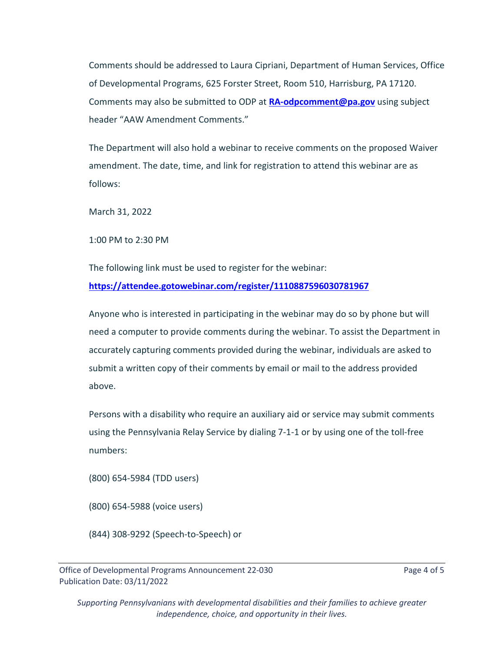Comments should be addressed to Laura Cipriani, Department of Human Services, Office of Developmental Programs, 625 Forster Street, Room 510, Harrisburg, PA 17120. Comments may also be submitted to ODP at **[RA-odpcomment@pa.gov](about:blank)** using subject header "AAW Amendment Comments."

The Department will also hold a webinar to receive comments on the proposed Waiver amendment. The date, time, and link for registration to attend this webinar are as follows:

March 31, 2022

1:00 PM to 2:30 PM

The following link must be used to register for the webinar: **<https://attendee.gotowebinar.com/register/1110887596030781967>**

Anyone who is interested in participating in the webinar may do so by phone but will need a computer to provide comments during the webinar. To assist the Department in accurately capturing comments provided during the webinar, individuals are asked to submit a written copy of their comments by email or mail to the address provided above.

Persons with a disability who require an auxiliary aid or service may submit comments using the Pennsylvania Relay Service by dialing 7-1-1 or by using one of the toll-free numbers:

(800) 654-5984 (TDD users)

(800) 654-5988 (voice users)

(844) 308-9292 (Speech-to-Speech) or

Office of Developmental Programs Announcement 22-030 Page 4 of 5 Publication Date: 03/11/2022